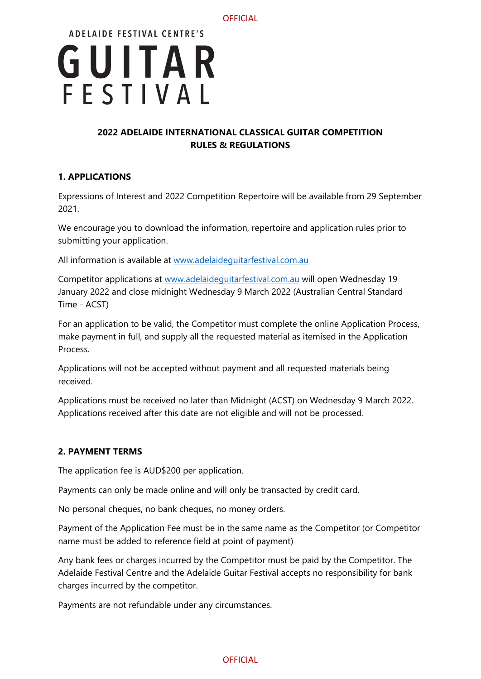

# **2022 ADELAIDE INTERNATIONAL CLASSICAL GUITAR COMPETITION RULES & REGULATIONS**

# **1. APPLICATIONS**

Expressions of Interest and 2022 Competition Repertoire will be available from 29 September 2021.

We encourage you to download the information, repertoire and application rules prior to submitting your application.

All information is available at [www.adelaideguitarfestival.com.au](http://www.adelaideguitarfestival.com.au/)

Competitor applications at [www.adelaideguitarfestival.com.au](http://www.adelaideguitarfestival.com.au/) will open Wednesday 19 January 2022 and close midnight Wednesday 9 March 2022 (Australian Central Standard Time - ACST)

For an application to be valid, the Competitor must complete the online Application Process, make payment in full, and supply all the requested material as itemised in the Application Process.

Applications will not be accepted without payment and all requested materials being received.

Applications must be received no later than Midnight (ACST) on Wednesday 9 March 2022. Applications received after this date are not eligible and will not be processed.

## **2. PAYMENT TERMS**

The application fee is AUD\$200 per application.

Payments can only be made online and will only be transacted by credit card.

No personal cheques, no bank cheques, no money orders.

Payment of the Application Fee must be in the same name as the Competitor (or Competitor name must be added to reference field at point of payment)

Any bank fees or charges incurred by the Competitor must be paid by the Competitor. The Adelaide Festival Centre and the Adelaide Guitar Festival accepts no responsibility for bank charges incurred by the competitor.

Payments are not refundable under any circumstances.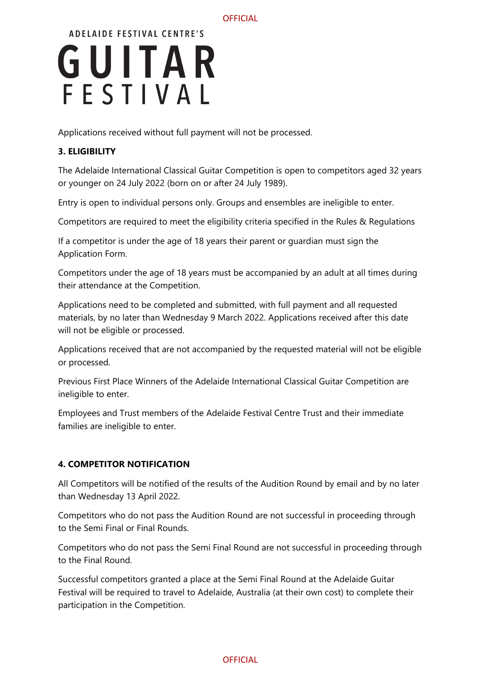#### **OFFICIAL**

# **ADELAIDE FESTIVAL CENTRE'S** GUITAR FESTIVAL

Applications received without full payment will not be processed.

## **3. ELIGIBILITY**

The Adelaide International Classical Guitar Competition is open to competitors aged 32 years or younger on 24 July 2022 (born on or after 24 July 1989).

Entry is open to individual persons only. Groups and ensembles are ineligible to enter.

Competitors are required to meet the eligibility criteria specified in the Rules & Regulations

If a competitor is under the age of 18 years their parent or guardian must sign the Application Form.

Competitors under the age of 18 years must be accompanied by an adult at all times during their attendance at the Competition.

Applications need to be completed and submitted, with full payment and all requested materials, by no later than Wednesday 9 March 2022. Applications received after this date will not be eligible or processed.

Applications received that are not accompanied by the requested material will not be eligible or processed.

Previous First Place Winners of the Adelaide International Classical Guitar Competition are ineligible to enter.

Employees and Trust members of the Adelaide Festival Centre Trust and their immediate families are ineligible to enter.

## **4. COMPETITOR NOTIFICATION**

All Competitors will be notified of the results of the Audition Round by email and by no later than Wednesday 13 April 2022.

Competitors who do not pass the Audition Round are not successful in proceeding through to the Semi Final or Final Rounds.

Competitors who do not pass the Semi Final Round are not successful in proceeding through to the Final Round.

Successful competitors granted a place at the Semi Final Round at the Adelaide Guitar Festival will be required to travel to Adelaide, Australia (at their own cost) to complete their participation in the Competition.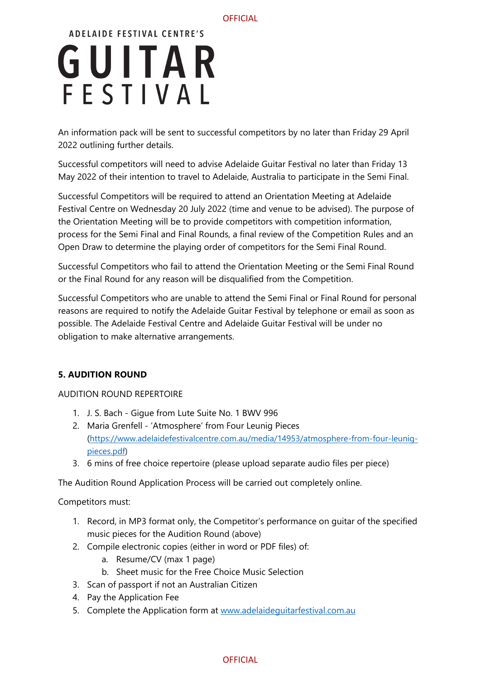An information pack will be sent to successful competitors by no later than Friday 29 April 2022 outlining further details.

Successful competitors will need to advise Adelaide Guitar Festival no later than Friday 13 May 2022 of their intention to travel to Adelaide, Australia to participate in the Semi Final.

Successful Competitors will be required to attend an Orientation Meeting at Adelaide Festival Centre on Wednesday 20 July 2022 (time and venue to be advised). The purpose of the Orientation Meeting will be to provide competitors with competition information, process for the Semi Final and Final Rounds, a final review of the Competition Rules and an Open Draw to determine the playing order of competitors for the Semi Final Round.

Successful Competitors who fail to attend the Orientation Meeting or the Semi Final Round or the Final Round for any reason will be disqualified from the Competition.

Successful Competitors who are unable to attend the Semi Final or Final Round for personal reasons are required to notify the Adelaide Guitar Festival by telephone or email as soon as possible. The Adelaide Festival Centre and Adelaide Guitar Festival will be under no obligation to make alternative arrangements.

## **5. AUDITION ROUND**

AUDITION ROUND REPERTOIRE

- 1. J. S. Bach Gigue from Lute Suite No. 1 BWV 996
- 2. Maria Grenfell 'Atmosphere' from Four Leunig Pieces [\(https://www.adelaidefestivalcentre.com.au/media/14953/atmosphere-from-four-leunig](https://www.adelaidefestivalcentre.com.au/media/14953/atmosphere-from-four-leunig-pieces.pdf)[pieces.pdf\)](https://www.adelaidefestivalcentre.com.au/media/14953/atmosphere-from-four-leunig-pieces.pdf)
- 3. 6 mins of free choice repertoire (please upload separate audio files per piece)

The Audition Round Application Process will be carried out completely online.

Competitors must:

- 1. Record, in MP3 format only, the Competitor's performance on guitar of the specified music pieces for the Audition Round (above)
- 2. Compile electronic copies (either in word or PDF files) of:
	- a. Resume/CV (max 1 page)
	- b. Sheet music for the Free Choice Music Selection
- 3. Scan of passport if not an Australian Citizen
- 4. Pay the Application Fee
- 5. Complete the Application form at www.adelaidequitarfestival.com.au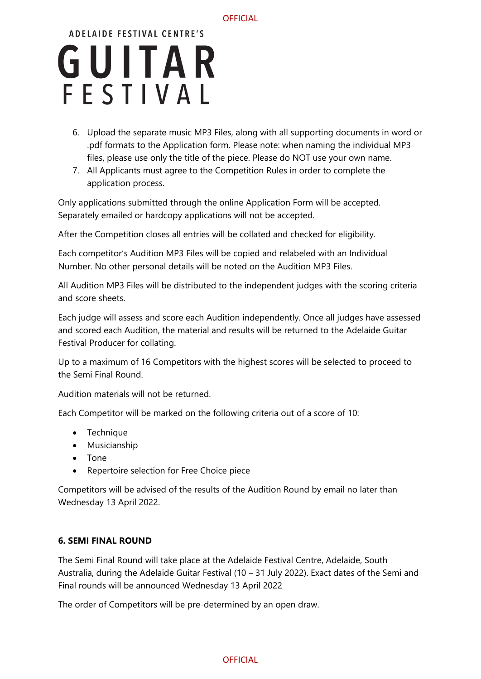#### **OFFICIAL**

# **ADELAIDE FESTIVAL CENTRE'S** GUITAR FESTIVAL

- 6. Upload the separate music MP3 Files, along with all supporting documents in word or .pdf formats to the Application form. Please note: when naming the individual MP3 files, please use only the title of the piece. Please do NOT use your own name.
- 7. All Applicants must agree to the Competition Rules in order to complete the application process.

Only applications submitted through the online Application Form will be accepted. Separately emailed or hardcopy applications will not be accepted.

After the Competition closes all entries will be collated and checked for eligibility.

Each competitor's Audition MP3 Files will be copied and relabeled with an Individual Number. No other personal details will be noted on the Audition MP3 Files.

All Audition MP3 Files will be distributed to the independent judges with the scoring criteria and score sheets.

Each judge will assess and score each Audition independently. Once all judges have assessed and scored each Audition, the material and results will be returned to the Adelaide Guitar Festival Producer for collating.

Up to a maximum of 16 Competitors with the highest scores will be selected to proceed to the Semi Final Round.

Audition materials will not be returned.

Each Competitor will be marked on the following criteria out of a score of 10:

- Technique
- Musicianship
- Tone
- Repertoire selection for Free Choice piece

Competitors will be advised of the results of the Audition Round by email no later than Wednesday 13 April 2022.

#### **6. SEMI FINAL ROUND**

The Semi Final Round will take place at the Adelaide Festival Centre, Adelaide, South Australia, during the Adelaide Guitar Festival (10 – 31 July 2022). Exact dates of the Semi and Final rounds will be announced Wednesday 13 April 2022

The order of Competitors will be pre-determined by an open draw.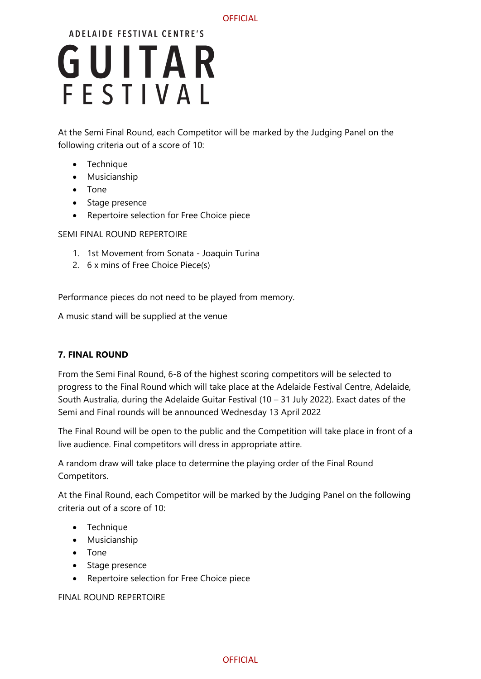At the Semi Final Round, each Competitor will be marked by the Judging Panel on the following criteria out of a score of 10:

- Technique
- Musicianship
- Tone
- Stage presence
- Repertoire selection for Free Choice piece

SEMI FINAL ROUND REPERTOIRE

- 1. 1st Movement from Sonata Joaquin Turina
- 2. 6 x mins of Free Choice Piece(s)

Performance pieces do not need to be played from memory.

A music stand will be supplied at the venue

## **7. FINAL ROUND**

From the Semi Final Round, 6-8 of the highest scoring competitors will be selected to progress to the Final Round which will take place at the Adelaide Festival Centre, Adelaide, South Australia, during the Adelaide Guitar Festival (10 – 31 July 2022). Exact dates of the Semi and Final rounds will be announced Wednesday 13 April 2022

The Final Round will be open to the public and the Competition will take place in front of a live audience. Final competitors will dress in appropriate attire.

A random draw will take place to determine the playing order of the Final Round Competitors.

At the Final Round, each Competitor will be marked by the Judging Panel on the following criteria out of a score of 10:

- Technique
- Musicianship
- Tone
- Stage presence
- Repertoire selection for Free Choice piece

FINAL ROUND REPERTOIRE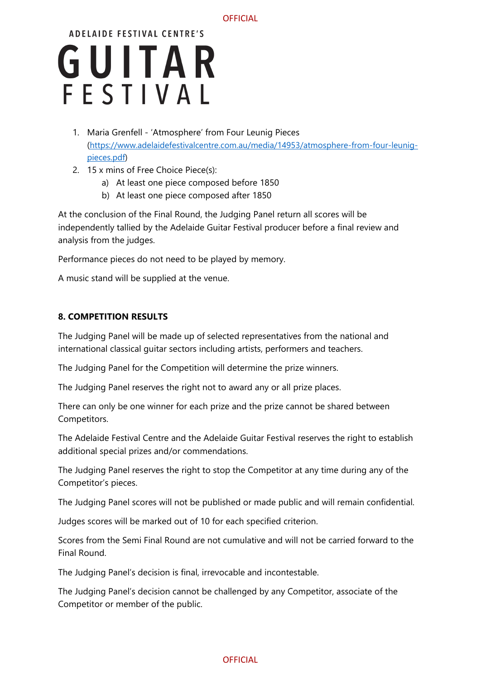- 1. Maria Grenfell 'Atmosphere' from Four Leunig Pieces [\(https://www.adelaidefestivalcentre.com.au/media/14953/atmosphere-from-four-leunig](https://www.adelaidefestivalcentre.com.au/media/14953/atmosphere-from-four-leunig-pieces.pdf)[pieces.pdf\)](https://www.adelaidefestivalcentre.com.au/media/14953/atmosphere-from-four-leunig-pieces.pdf)
- 2. 15 x mins of Free Choice Piece(s):
	- a) At least one piece composed before 1850
	- b) At least one piece composed after 1850

At the conclusion of the Final Round, the Judging Panel return all scores will be independently tallied by the Adelaide Guitar Festival producer before a final review and analysis from the judges.

Performance pieces do not need to be played by memory.

A music stand will be supplied at the venue.

## **8. COMPETITION RESULTS**

The Judging Panel will be made up of selected representatives from the national and international classical guitar sectors including artists, performers and teachers.

The Judging Panel for the Competition will determine the prize winners.

The Judging Panel reserves the right not to award any or all prize places.

There can only be one winner for each prize and the prize cannot be shared between Competitors.

The Adelaide Festival Centre and the Adelaide Guitar Festival reserves the right to establish additional special prizes and/or commendations.

The Judging Panel reserves the right to stop the Competitor at any time during any of the Competitor's pieces.

The Judging Panel scores will not be published or made public and will remain confidential.

Judges scores will be marked out of 10 for each specified criterion.

Scores from the Semi Final Round are not cumulative and will not be carried forward to the Final Round.

The Judging Panel's decision is final, irrevocable and incontestable.

The Judging Panel's decision cannot be challenged by any Competitor, associate of the Competitor or member of the public.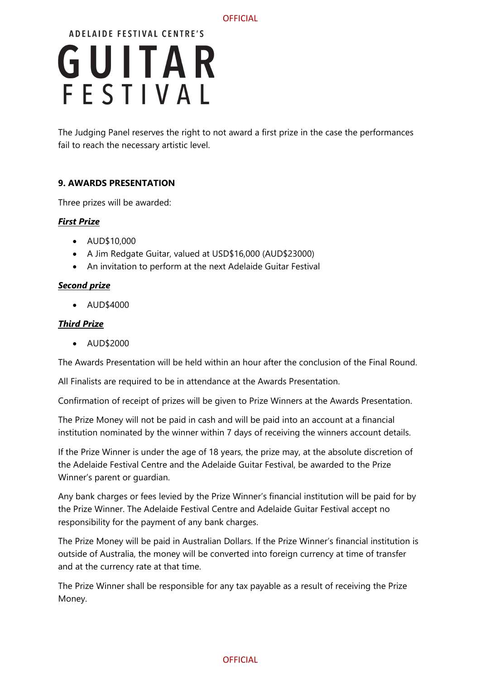The Judging Panel reserves the right to not award a first prize in the case the performances fail to reach the necessary artistic level.

## **9. AWARDS PRESENTATION**

Three prizes will be awarded:

### *First Prize*

- AUD\$10,000
- A Jim Redgate Guitar, valued at USD\$16,000 (AUD\$23000)
- An invitation to perform at the next Adelaide Guitar Festival

#### *Second prize*

• AUD\$4000

### *Third Prize*

• AUD\$2000

The Awards Presentation will be held within an hour after the conclusion of the Final Round.

All Finalists are required to be in attendance at the Awards Presentation.

Confirmation of receipt of prizes will be given to Prize Winners at the Awards Presentation.

The Prize Money will not be paid in cash and will be paid into an account at a financial institution nominated by the winner within 7 days of receiving the winners account details.

If the Prize Winner is under the age of 18 years, the prize may, at the absolute discretion of the Adelaide Festival Centre and the Adelaide Guitar Festival, be awarded to the Prize Winner's parent or guardian.

Any bank charges or fees levied by the Prize Winner's financial institution will be paid for by the Prize Winner. The Adelaide Festival Centre and Adelaide Guitar Festival accept no responsibility for the payment of any bank charges.

The Prize Money will be paid in Australian Dollars. If the Prize Winner's financial institution is outside of Australia, the money will be converted into foreign currency at time of transfer and at the currency rate at that time.

The Prize Winner shall be responsible for any tax payable as a result of receiving the Prize Money.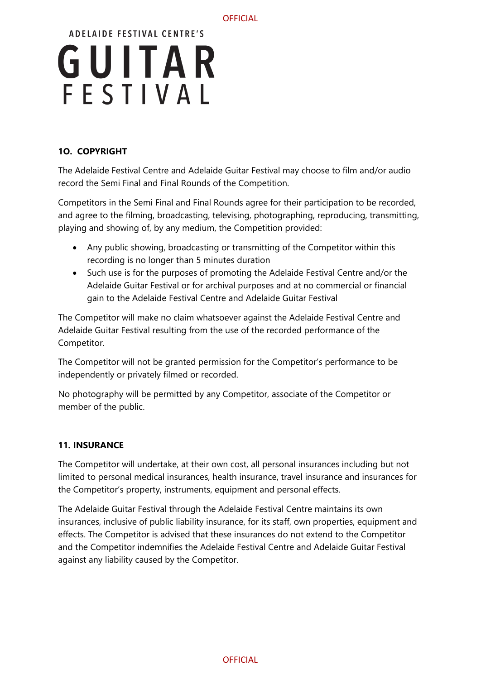

## **1O. COPYRIGHT**

The Adelaide Festival Centre and Adelaide Guitar Festival may choose to film and/or audio record the Semi Final and Final Rounds of the Competition.

Competitors in the Semi Final and Final Rounds agree for their participation to be recorded, and agree to the filming, broadcasting, televising, photographing, reproducing, transmitting, playing and showing of, by any medium, the Competition provided:

- Any public showing, broadcasting or transmitting of the Competitor within this recording is no longer than 5 minutes duration
- Such use is for the purposes of promoting the Adelaide Festival Centre and/or the Adelaide Guitar Festival or for archival purposes and at no commercial or financial gain to the Adelaide Festival Centre and Adelaide Guitar Festival

The Competitor will make no claim whatsoever against the Adelaide Festival Centre and Adelaide Guitar Festival resulting from the use of the recorded performance of the Competitor.

The Competitor will not be granted permission for the Competitor's performance to be independently or privately filmed or recorded.

No photography will be permitted by any Competitor, associate of the Competitor or member of the public.

## **11. INSURANCE**

The Competitor will undertake, at their own cost, all personal insurances including but not limited to personal medical insurances, health insurance, travel insurance and insurances for the Competitor's property, instruments, equipment and personal effects.

The Adelaide Guitar Festival through the Adelaide Festival Centre maintains its own insurances, inclusive of public liability insurance, for its staff, own properties, equipment and effects. The Competitor is advised that these insurances do not extend to the Competitor and the Competitor indemnifies the Adelaide Festival Centre and Adelaide Guitar Festival against any liability caused by the Competitor.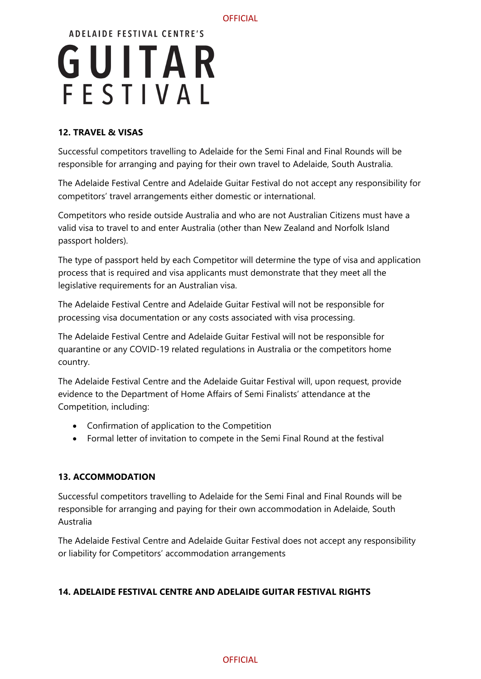#### **OFFICIAL**

# **ADELAIDE FESTIVAL CENTRE'S** GUITAR FESTIVAL

## **12. TRAVEL & VISAS**

Successful competitors travelling to Adelaide for the Semi Final and Final Rounds will be responsible for arranging and paying for their own travel to Adelaide, South Australia.

The Adelaide Festival Centre and Adelaide Guitar Festival do not accept any responsibility for competitors' travel arrangements either domestic or international.

Competitors who reside outside Australia and who are not Australian Citizens must have a valid visa to travel to and enter Australia (other than New Zealand and Norfolk Island passport holders).

The type of passport held by each Competitor will determine the type of visa and application process that is required and visa applicants must demonstrate that they meet all the legislative requirements for an Australian visa.

The Adelaide Festival Centre and Adelaide Guitar Festival will not be responsible for processing visa documentation or any costs associated with visa processing.

The Adelaide Festival Centre and Adelaide Guitar Festival will not be responsible for quarantine or any COVID-19 related regulations in Australia or the competitors home country.

The Adelaide Festival Centre and the Adelaide Guitar Festival will, upon request, provide evidence to the Department of Home Affairs of Semi Finalists' attendance at the Competition, including:

- Confirmation of application to the Competition
- Formal letter of invitation to compete in the Semi Final Round at the festival

## **13. ACCOMMODATION**

Successful competitors travelling to Adelaide for the Semi Final and Final Rounds will be responsible for arranging and paying for their own accommodation in Adelaide, South Australia

The Adelaide Festival Centre and Adelaide Guitar Festival does not accept any responsibility or liability for Competitors' accommodation arrangements

## **14. ADELAIDE FESTIVAL CENTRE AND ADELAIDE GUITAR FESTIVAL RIGHTS**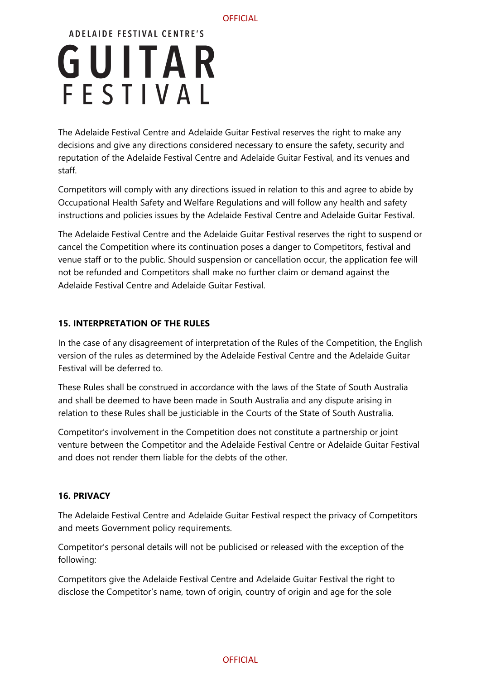The Adelaide Festival Centre and Adelaide Guitar Festival reserves the right to make any decisions and give any directions considered necessary to ensure the safety, security and reputation of the Adelaide Festival Centre and Adelaide Guitar Festival, and its venues and staff.

Competitors will comply with any directions issued in relation to this and agree to abide by Occupational Health Safety and Welfare Regulations and will follow any health and safety instructions and policies issues by the Adelaide Festival Centre and Adelaide Guitar Festival.

The Adelaide Festival Centre and the Adelaide Guitar Festival reserves the right to suspend or cancel the Competition where its continuation poses a danger to Competitors, festival and venue staff or to the public. Should suspension or cancellation occur, the application fee will not be refunded and Competitors shall make no further claim or demand against the Adelaide Festival Centre and Adelaide Guitar Festival.

## **15. INTERPRETATION OF THE RULES**

In the case of any disagreement of interpretation of the Rules of the Competition, the English version of the rules as determined by the Adelaide Festival Centre and the Adelaide Guitar Festival will be deferred to.

These Rules shall be construed in accordance with the laws of the State of South Australia and shall be deemed to have been made in South Australia and any dispute arising in relation to these Rules shall be justiciable in the Courts of the State of South Australia.

Competitor's involvement in the Competition does not constitute a partnership or joint venture between the Competitor and the Adelaide Festival Centre or Adelaide Guitar Festival and does not render them liable for the debts of the other.

#### **16. PRIVACY**

The Adelaide Festival Centre and Adelaide Guitar Festival respect the privacy of Competitors and meets Government policy requirements.

Competitor's personal details will not be publicised or released with the exception of the following:

Competitors give the Adelaide Festival Centre and Adelaide Guitar Festival the right to disclose the Competitor's name, town of origin, country of origin and age for the sole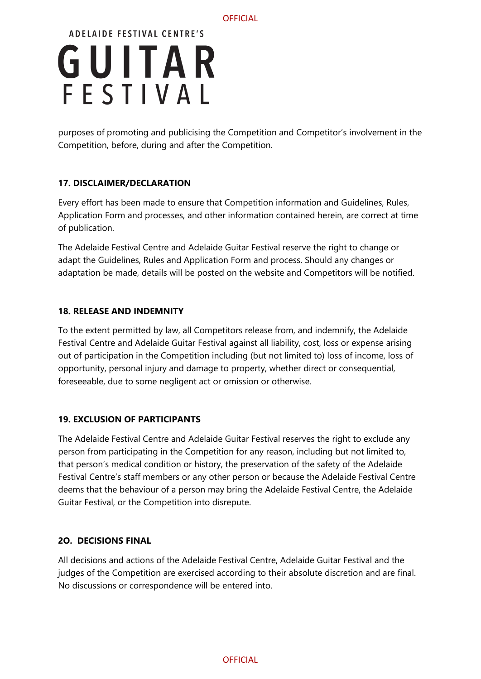purposes of promoting and publicising the Competition and Competitor's involvement in the Competition, before, during and after the Competition.

## **17. DISCLAIMER/DECLARATION**

Every effort has been made to ensure that Competition information and Guidelines, Rules, Application Form and processes, and other information contained herein, are correct at time of publication.

The Adelaide Festival Centre and Adelaide Guitar Festival reserve the right to change or adapt the Guidelines, Rules and Application Form and process. Should any changes or adaptation be made, details will be posted on the website and Competitors will be notified.

### **18. RELEASE AND INDEMNITY**

To the extent permitted by law, all Competitors release from, and indemnify, the Adelaide Festival Centre and Adelaide Guitar Festival against all liability, cost, loss or expense arising out of participation in the Competition including (but not limited to) loss of income, loss of opportunity, personal injury and damage to property, whether direct or consequential, foreseeable, due to some negligent act or omission or otherwise.

## **19. EXCLUSION OF PARTICIPANTS**

The Adelaide Festival Centre and Adelaide Guitar Festival reserves the right to exclude any person from participating in the Competition for any reason, including but not limited to, that person's medical condition or history, the preservation of the safety of the Adelaide Festival Centre's staff members or any other person or because the Adelaide Festival Centre deems that the behaviour of a person may bring the Adelaide Festival Centre, the Adelaide Guitar Festival, or the Competition into disrepute.

#### **2O. DECISIONS FINAL**

All decisions and actions of the Adelaide Festival Centre, Adelaide Guitar Festival and the judges of the Competition are exercised according to their absolute discretion and are final. No discussions or correspondence will be entered into.